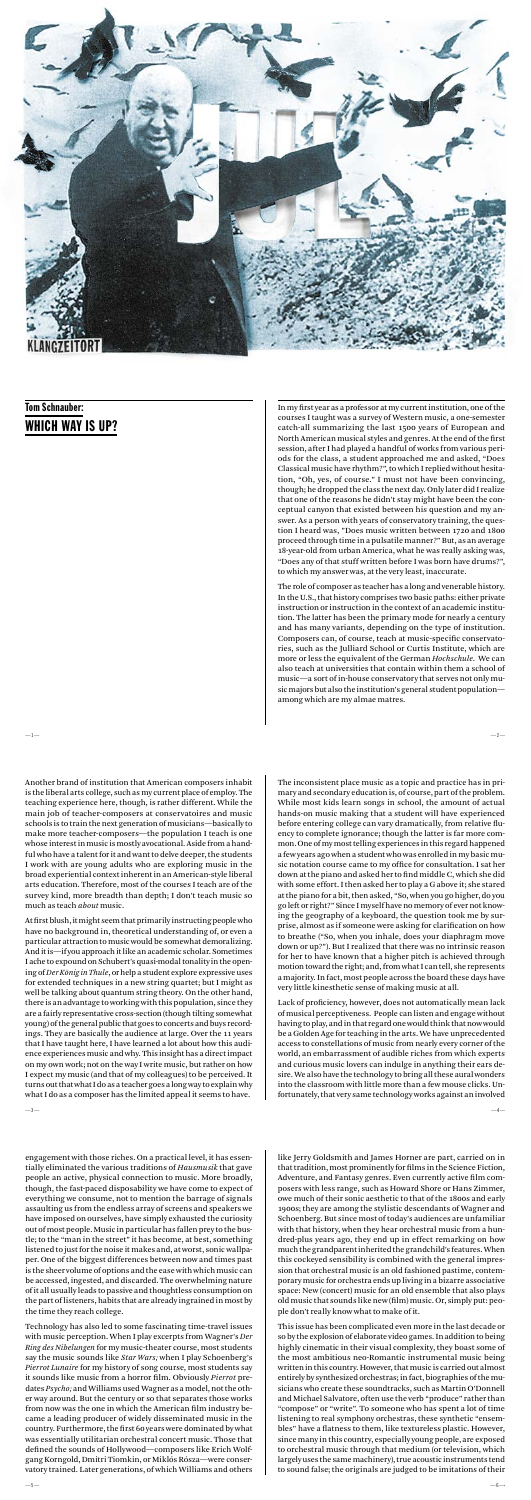In my first year as a professor at my current institution, one of the courses I taught was a survey of Western music, a one-semester catch-all summarizing the last 1500 years of European and North American musical styles and genres. At the end of the first session, after I had played a handful of works from various periods for the class, a student approached me and asked, "Does Classical music have rhythm?", to which I replied without hesitation, "Oh, yes, of course." I must not have been convincing, though; he dropped the class the next day. Only later did I realize that one of the reasons he didn't stay might have been the conceptual canyon that existed between his question and my answer. As a person with years of conservatory training, the question I heard was, "Does music written between 1720 and 1800 proceed through time in a pulsatile manner?" But, as an average 18-year-old from urban America, what he was really asking was, "Does any of that stuff written before I was born have drums?", to which my answer was, at the very least, inaccurate.

The role of composer as teacher has a long and venerable history. In the U.S., that history comprises two basic paths: either private instruction or instruction in the context of an academic institution. The latter has been the primary mode for nearly a century and has many variants, depending on the type of institution. Composers can, of course, teach at music-specific conservatories, such as the Julliard School or Curtis Institute, which are more or less the equivalent of the German *Hochschule*. We can also teach at universities that contain within them a school of music—a sort of in-house conservatory that serves not only music majors but also the institution's general student population among which are my almae matres.

 $-1 -2-$ 

engagement with those riches. On a practical level, it has essentially eliminated the various traditions of *Hausmusik* that gave people an active, physical connection to music. More broadly, though, the fast-paced disposability we have come to expect of everything we consume, not to mention the barrage of signals assaulting us from the endless array of screens and speakers we have imposed on ourselves, have simply exhausted the curiosity out of most people. Music in particular has fallen prey to the bustle; to the "man in the street" it has become, at best, something listened to just for the noise it makes and, at worst, sonic wallpaper. One of the biggest differences between now and times past is the sheer volume of options and the ease with which music can be accessed, ingested, and discarded. The overwhelming nature of it all usually leads to passive and thoughtless consumption on the part of listeners, habits that are already ingrained in most by the time they reach college.

Technology has also led to some fascinating time-travel issues with music perception. When I play excerpts from Wagner's *Der Ring des Nibelungen* for my music-theater course, most students say the music sounds like *Star Wars;* when I play Schoenberg's *Pierrot Lunaire* for my history of song course, most students say it sounds like music from a horror film. Obviously *Pierrot* predates *Psycho;* and Williams used Wagner as a model, not the other way around. But the century or so that separates those works from now was the one in which the American film industry became a leading producer of widely disseminated music in the country. Furthermore, the first 60 years were dominated by what was essentially utilitarian orchestral concert music. Those that defined the sounds of Hollywood—composers like Erich Wolfgang Korngold, Dmitri Tiomkin, or Miklós Rósza—were conservatory trained. Later generations, of which Williams and others

The inconsistent place music as a topic and practice has in primary and secondary education is, of course, part of the problem. While most kids learn songs in school, the amount of actual

hands-on music making that a student will have experienced before entering college can vary dramatically, from relative fluency to complete ignorance; though the latter is far more common. One of my most telling experiences in this regard happened a few years ago when a student who was enrolled in my basic music notation course came to my office for consultation. I sat her down at the piano and asked her to find middle C, which she did with some effort. I then asked her to play a G above it; she stared at the piano for a bit, then asked, "So, when you go higher, do you go left or right?" Since I myself have no memory of ever not knowing the geography of a keyboard, the question took me by surprise, almost as if someone were asking for clarification on how to breathe ("So, when you inhale, does your diaphragm move down or up?"). But I realized that there was no intrinsic reason for her to have known that a higher pitch is achieved through motion toward the right; and, from what I can tell, she represents a majority. In fact, most people across the board these days have very little kinesthetic sense of making music at all.

Lack of proficiency, however, does not automatically mean lack of musical perceptiveness. People can listen and engage without having to play, and in that regard one would think that now would be a Golden Age for teaching in the arts. We have unprecedented access to constellations of music from nearly every corner of the world, an embarrassment of audible riches from which experts and curious music lovers can indulge in anything their ears desire. We also have the technology to bring all these aural wonders into the classroom with little more than a few mouse clicks. Unfortunately, that very same technology works against an involved

like Jerry Goldsmith and James Horner are part, carried on in that tradition, most prominently for films in the Science Fiction, Adventure, and Fantasy genres. Even currently active film composers with less range, such as Howard Shore or Hans Zimmer, owe much of their sonic aesthetic to that of the 1800s and early 1900s; they are among the stylistic descendants of Wagner and Schoenberg. But since most of today's audiences are unfamiliar with that history, when they hear orchestral music from a hundred-plus years ago, they end up in effect remarking on how much the grandparent inherited the grandchild's features. When this cockeyed sensibility is combined with the general impression that orchestral music is an old fashioned pastime, contemporary music for orchestra ends up living in a bizarre associative space: New (concert) music for an old ensemble that also plays old music that sounds like new (film) music. Or, simply put: people don't really know what to make of it.

This issue has been complicated even more in the last decade or so by the explosion of elaborate video games. In addition to being highly cinematic in their visual complexity, they boast some of the most ambitious neo-Romantic instrumental music being written in this country. However, that music is carried out almost entirely by synthesized orchestras; in fact, biographies of the musicians who create these soundtracks, such as Martin O'Donnell and Michael Salvatore, often use the verb "produce" rather than "compose" or "write". To someone who has spent a lot of time listening to real symphony orchestras, these synthetic "ensembles" have a flatness to them, like textureless plastic. However, since many in this country, especially young people, are exposed to orchestral music through that medium (or television, which largely uses the same machinery), true acoustic instruments tend to sound false; the originals are judged to be imitations of their

Another brand of institution that American composers inhabit is the liberal arts college, such as my current place of employ. The

teaching experience here, though, is rather different. While the main job of teacher-composers at conservatoires and music schools is to train the next generation of musicians—basically to make more teacher-composers—the population I teach is one whose interest in music is mostly avocational. Aside from a handful who have a talent for it and want to delve deeper, the students I work with are young adults who are exploring music in the broad experiential context inherent in an American-style liberal arts education. Therefore, most of the courses I teach are of the survey kind, more breadth than depth; I don't teach music so much as teach *about* music.

At first blush, it might seem that primarily instructing people who have no background in, theoretical understanding of, or even a particular attraction to music would be somewhat demoralizing. And it is—if you approach it like an academic scholar. Sometimes I ache to expound on Schubert's quasi-modal tonality in the opening of *Der König in Thule*, or help a student explore expressive uses for extended techniques in a new string quartet; but I might as well be talking about quantum string theory. On the other hand, there is an advantage to working with this population, since they are a fairly representative cross-section (though tilting somewhat young) of the general public that goes to concerts and buys recordings. They are basically the audience at large. Over the 11 years that I have taught here, I have learned a lot about how this audience experiences music and why. This insight has a direct impact on my own work; not on the way I write music, but rather on how I expect my music (and that of my colleagues) to be perceived. It turns out that what I do as a teacher goes a long way to explain why what I do as a composer has the limited appeal it seems to have.



# Tom Schnauber: WHICH WAY IS UP?

—3— —4—